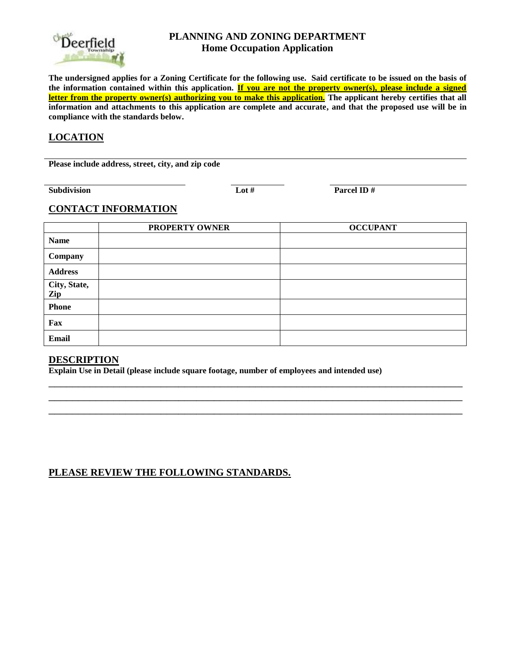

## **PLANNING AND ZONING DEPARTMENT Home Occupation Application**

**The undersigned applies for a Zoning Certificate for the following use. Said certificate to be issued on the basis of the information contained within this application. If you are not the property owner(s), please include a signed letter from the property owner(s) authorizing you to make this application. The applicant hereby certifies that all information and attachments to this application are complete and accurate, and that the proposed use will be in compliance with the standards below.**

### **LOCATION**

**Please include address, street, city, and zip code**

**Subdivision Lot # Parcel ID # Parcel ID #** 

# **CONTACT INFORMATION**

|                     | PROPERTY OWNER | <b>OCCUPANT</b> |
|---------------------|----------------|-----------------|
| <b>Name</b>         |                |                 |
| Company             |                |                 |
| <b>Address</b>      |                |                 |
| City, State,<br>Zip |                |                 |
| <b>Phone</b>        |                |                 |
| Fax                 |                |                 |
| <b>Email</b>        |                |                 |

\_\_\_\_\_\_\_\_\_\_\_\_\_\_\_\_\_\_\_\_\_\_\_\_\_\_\_\_\_\_\_\_\_\_\_\_\_\_\_\_\_\_\_\_\_\_\_\_\_\_\_\_\_\_\_\_\_\_\_\_\_\_\_\_\_\_\_\_\_\_ \_\_\_\_\_\_\_\_\_\_\_\_\_\_\_\_\_\_\_\_\_\_\_\_\_\_\_\_\_\_\_\_\_\_\_\_\_\_\_\_\_\_\_\_\_\_\_\_\_\_\_\_\_\_\_\_\_\_\_\_\_\_\_\_\_\_\_\_\_\_ \_\_\_\_\_\_\_\_\_\_\_\_\_\_\_\_\_\_\_\_\_\_\_\_\_\_\_\_\_\_\_\_\_\_\_\_\_\_\_\_\_\_\_\_\_\_\_\_\_\_\_\_\_\_\_\_\_\_\_\_\_\_\_\_\_\_\_\_\_\_

## **DESCRIPTION**

**Explain Use in Detail (please include square footage, number of employees and intended use)**

# **PLEASE REVIEW THE FOLLOWING STANDARDS.**